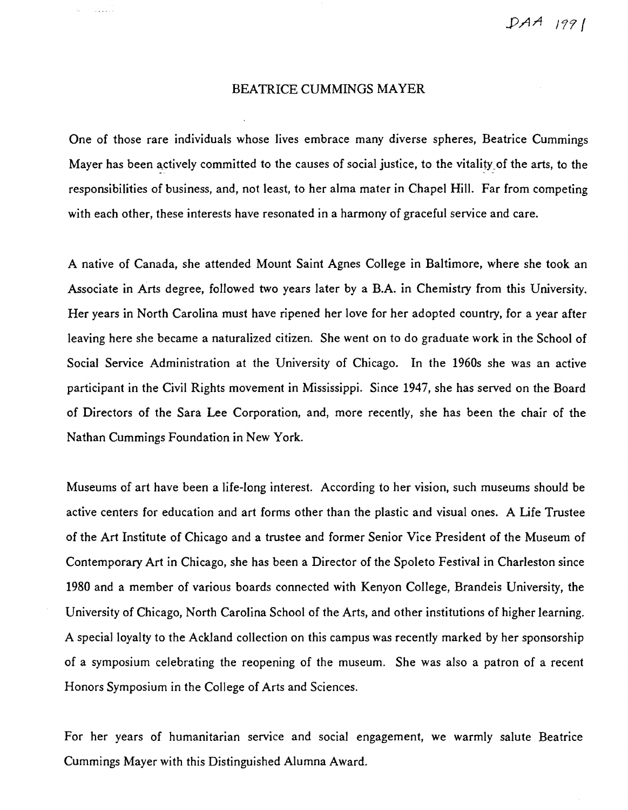*PAA 11'1/* 

## BEATRICE CUMMINGS MAYER

One of those rare individuals whose lives embrace many diverse spheres, Beatrice Cummings Mayer has been actively committed to the causes of social justice, to the vitality\_of the arts, to the responsibilities of business, and, not least, to her alma mater in Chapel Hill. Far from competing with each other, these interests have resonated in a harmony of graceful service and care.

A native of Canada, she attended Mount Saint Agnes College in Baltimore, where she took an Associate in Arts degree, followed two years later by a B.A. in Chemistry from this University. Her years in North Carolina must have ripened her love for her adopted country, for a year after leaving here she became a naturalized citizen. She went on to do graduate work in the School of Social Service Administration at the University of Chicago. In the 1960s she was an active participant in the Civil Rights movement in Mississippi. Since 1947, she has served on the Board of Directors of the Sara Lee Corporation, and, more recently, she has been the chair of the Nathan Cummings Foundation in New York.

Museums of art have been a life-long interest. According to her vision, such museums should be active centers for education and art forms other than the plastic and visual ones. A Life Trustee of the Art Institute of Chicago and a trustee and former Senior Vice President of the Museum of Contemporary Art in Chicago, she has been a Director of the Spoleto Festival in Charleston since 1980 and a member of various boards connected with Kenyon College, Brandeis University, the University of Chicago, North Carolina School of the Arts, and other institutions of higher learning. A special loyalty to the Ackland collection on this campus was recently marked by her sponsorship of a symposium ce1ebrating the reopening of the museum. She was also a patron of a recent Honors Symposium in the College of Arts and Sciences.

For her years of humanitarian service and social engagement, we warmly salute Beatrice Cummings Mayer with this Distinguished Alumna Award.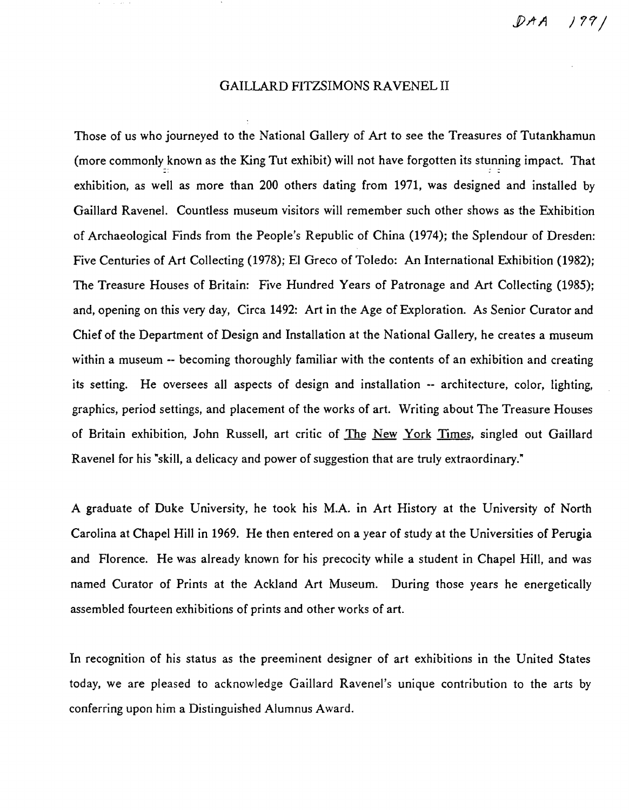$DAA$   $199$ 

## GAILLARD FITZSIMONS RAVENEL II

Those of us who journeyed to the National Gallery of Art to see the Treasures of Tutankhamun (more commonly known as the King Tut exhibit) will not have forgotten its stunning impact. That exhibition, as well as more than 200 others dating from 1971, was designed and installed by Gaillard Ravenel. Countless museum visitors will remember such other shows as the Exhibition of Archaeological Finds from the People's Republic of China (1974); the Splendour of Dresden: Five Centuries of Art Collecting (1978); EI Greco of Toledo: An International Exhibition (1982); The Treasure Houses of Britain: Five Hundred Years of Patronage and Art Collecting (1985); and, opening on this very day, Circa 1492: Art in the Age of Exploration. As Senior Curator and Chief of the Department of Design and Installation at the National Gallery, he creates a museum within a museum -- becoming thoroughly familiar with the contents of an exhibition and creating its setting. He oversees all aspects of design and installation -- architecture, color, lighting, graphics, period settings, and placement of the works of art. Writing about The Treasure Houses of Britain exhibition, John Russell, art critic of The New York Times, singled out Gaillard Ravenel for his "skill, a delicacy and power of suggestion that are truly extraordinary."

A graduate of Duke University, he took his M.A. in Art History at the University of North Carolina at Chapel Hill in 1969. He then entered on a year of study at the Universities of Perugia and Florence. He was already known for his precocity while a student in Chapel Hill, and was named Curator of Prints at the Ackland Art Museum. During those years he energetically assembled fourteen exhibitions of prints and other works of art.

In recognition of his status as the preeminent designer of art exhibitions in the United States today, we are pleased to acknowledge Gaillard Ravenel's unique contribution to the arts by conferring upon him a Distinguished Alumnus Award.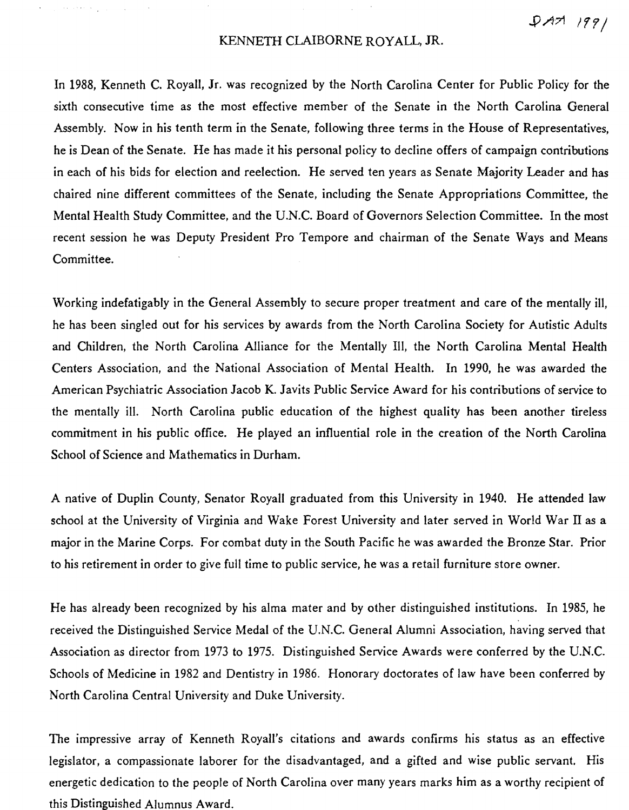$PAT1199/$ 

## KENNETH CLAIBORNE ROYALL, JR.

 $\mathcal{L}(\mathbf{r})$  , we see that  $\mathcal{L}(\mathbf{r})$ 

In 1988, Kenneth C. Royall, Jr. was recognized by the North Carolina Center for Public Policy for the sixth consecutive time as the most effective member of the Senate in the North Carolina General Assembly. Now in his tenth term in the Senate, following three terms in the House of Representatives, he is Dean of the Senate. He has made it his personal policy to decline offers of campaign contributions in each of his bids for election and reelection. He served ten years as Senate Majority Leader and has chaired nine different committees of the Senate, including the Senate Appropriations Committee, the Mental Health Study Committee, and the U.N.C. Board of Governors Selection Committee. In the most recent session he was Deputy President Pro Tempore and chairman of the Senate Ways and Means Committee.

Working indefatigably in the General Assembly to secure proper treatment and care of the mentally ill, he has been singled out for his services by awards from the North Carolina Society for Autistic Adults and Children, the North Carolina Alliance for the Mentally Ill, the North Carolina Mental Health Centers Association, and the National Association of Mental Health. In 1990, he was awarded the American Psychiatric Association Jacob K. Javits Public Service Award for his contributions of service to the mentally ill. North Carolina public education of the highest quality has been another tireless commitment in his public office. He played an influential role in the creation of the North Carolina School of Science and Mathematics in Durham.

A native of Duplin County, Senator Royall graduated from this University in 1940. He attended law school at the University of Virginia and Wake Forest University and later served in World War IT as a major in the Marine Corps. For combat duty in the South Pacific he was awarded the Bronze Star. Prior to his retirement in order to give full time to public service, he was a retail furniture store owner.

He has already been recognized by his alma mater and by other distinguished institutions. In 1985, he received the Distinguished Service Medal of the U.N.C. General Alumni Association, having served that Association as director from 1973 to 1975. Distinguished Service Awards were conferred by the U.N.C. Schools of Medicine in 1982 and Dentistry in 1986. Honorary doctorates of law have been conferred by North Carolina Central University and Duke University.

The impressive array of Kenneth Royall's citations and awards confirms his status as an effective legislator, a compassionate laborer for the disadvantaged, and a gifted and wise public servant. His energetic dedication to the people of North Carolina over many years marks him as a worthy recipient of this Distinguished Alumnus Award.